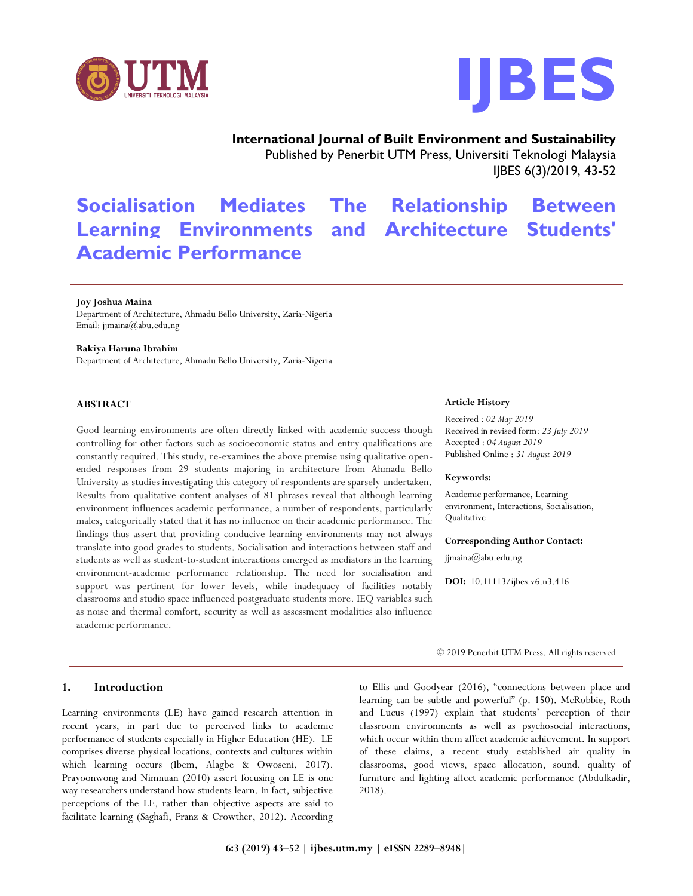



# **International Journal of Built Environment and Sustainability** Published by Penerbit UTM Press, Universiti Teknologi Malaysia

IJBES 6(3)/2019, 43-52

# **Socialisation Mediates The Relationship Between Learning Environments and Architecture Students' Academic Performance**

#### **Joy Joshua Maina**

Department of Architecture, Ahmadu Bello University, Zaria-Nigeria Email: jjmaina@abu.edu.ng

#### **Rakiya Haruna Ibrahim**

Department of Architecture, Ahmadu Bello University, Zaria-Nigeria

# **ABSTRACT**

Good learning environments are often directly linked with academic success though controlling for other factors such as socioeconomic status and entry qualifications are constantly required. This study, re-examines the above premise using qualitative openended responses from 29 students majoring in architecture from Ahmadu Bello University as studies investigating this category of respondents are sparsely undertaken. Results from qualitative content analyses of 81 phrases reveal that although learning environment influences academic performance, a number of respondents, particularly males, categorically stated that it has no influence on their academic performance. The findings thus assert that providing conducive learning environments may not always translate into good grades to students. Socialisation and interactions between staff and students as well as student-to-student interactions emerged as mediators in the learning environment-academic performance relationship. The need for socialisation and support was pertinent for lower levels, while inadequacy of facilities notably classrooms and studio space influenced postgraduate students more. IEQ variables such as noise and thermal comfort, security as well as assessment modalities also influence academic performance.

#### **1. Introduction**

Learning environments (LE) have gained research attention in recent years, in part due to perceived links to academic performance of students especially in Higher Education (HE). LE comprises diverse physical locations, contexts and cultures within which learning occurs (Ibem, Alagbe & Owoseni, 2017). Prayoonwong and Nimnuan (2010) assert focusing on LE is one way researchers understand how students learn. In fact, subjective perceptions of the LE, rather than objective aspects are said to facilitate learning (Saghafi, Franz & Crowther, 2012). According

#### **Article History**

Received : *02 May 2019* Received in revised form: *23 July 2019* Accepted : *04 August 2019* Published Online : *31 August 2019*

#### **Keywords:**

Academic performance, Learning environment, Interactions, Socialisation, Qualitative

#### **Corresponding Author Contact:**

jjmaina@abu.edu.ng

**DOI:** 10.11113/ijbes.v6.n3.416

© 2019 Penerbit UTM Press. All rights reserved

to Ellis and Goodyear (2016), "connections between place and learning can be subtle and powerful" (p. 150). McRobbie, Roth and Lucus (1997) explain that students' perception of their classroom environments as well as psychosocial interactions, which occur within them affect academic achievement. In support of these claims, a recent study established air quality in classrooms, good views, space allocation, sound, quality of furniture and lighting affect academic performance (Abdulkadir, 2018).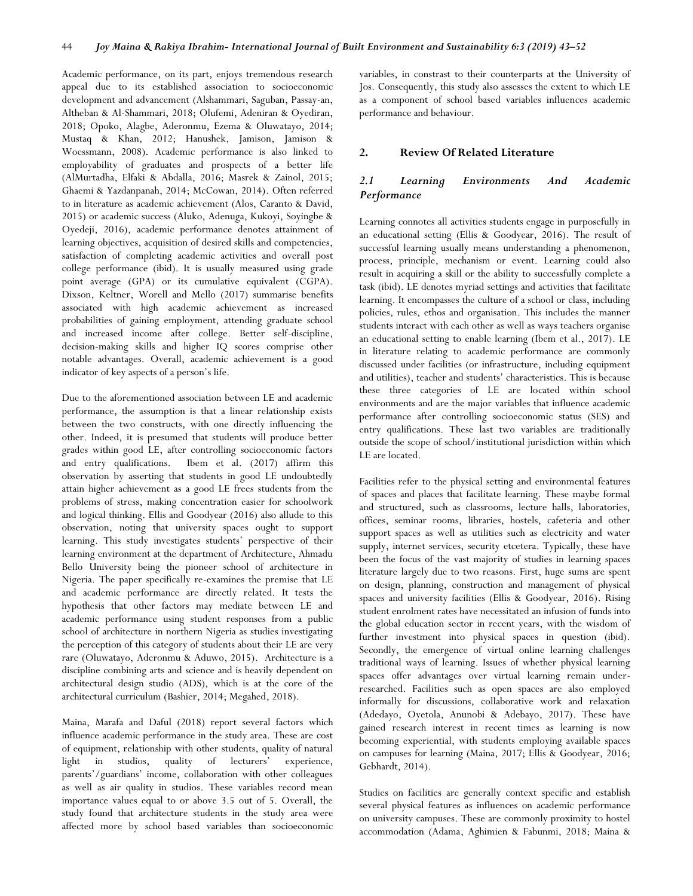Academic performance, on its part, enjoys tremendous research appeal due to its established association to socioeconomic development and advancement (Alshammari, Saguban, Passay-an, Altheban & Al-Shammari, 2018; Olufemi, Adeniran & Oyediran, 2018; Opoko, Alagbe, Aderonmu, Ezema & Oluwatayo, 2014; Mustaq & Khan, 2012; Hanushek, Jamison, Jamison & Woessmann, 2008). Academic performance is also linked to employability of graduates and prospects of a better life (AlMurtadha, Elfaki & Abdalla, 2016; Masrek & Zainol, 2015; Ghaemi & Yazdanpanah, 2014; McCowan, 2014). Often referred to in literature as academic achievement (Alos, Caranto & David, 2015) or academic success (Aluko, Adenuga, Kukoyi, Soyingbe & Oyedeji, 2016), academic performance denotes attainment of learning objectives, acquisition of desired skills and competencies, satisfaction of completing academic activities and overall post college performance (ibid). It is usually measured using grade point average (GPA) or its cumulative equivalent (CGPA). Dixson, Keltner, Worell and Mello (2017) summarise benefits associated with high academic achievement as increased probabilities of gaining employment, attending graduate school and increased income after college. Better self-discipline, decision-making skills and higher IQ scores comprise other notable advantages. Overall, academic achievement is a good indicator of key aspects of a person's life.

Due to the aforementioned association between LE and academic performance, the assumption is that a linear relationship exists between the two constructs, with one directly influencing the other. Indeed, it is presumed that students will produce better grades within good LE, after controlling socioeconomic factors and entry qualifications. Ibem et al. (2017) affirm this observation by asserting that students in good LE undoubtedly attain higher achievement as a good LE frees students from the problems of stress, making concentration easier for schoolwork and logical thinking. Ellis and Goodyear (2016) also allude to this observation, noting that university spaces ought to support learning. This study investigates students' perspective of their learning environment at the department of Architecture, Ahmadu Bello University being the pioneer school of architecture in Nigeria. The paper specifically re-examines the premise that LE and academic performance are directly related. It tests the hypothesis that other factors may mediate between LE and academic performance using student responses from a public school of architecture in northern Nigeria as studies investigating the perception of this category of students about their LE are very rare (Oluwatayo, Aderonmu & Aduwo, 2015). Architecture is a discipline combining arts and science and is heavily dependent on architectural design studio (ADS), which is at the core of the architectural curriculum (Bashier, 2014; Megahed, 2018).

Maina, Marafa and Daful (2018) report several factors which influence academic performance in the study area. These are cost of equipment, relationship with other students, quality of natural light in studios, quality of lecturers' experience, parents'/guardians' income, collaboration with other colleagues as well as air quality in studios. These variables record mean importance values equal to or above 3.5 out of 5. Overall, the study found that architecture students in the study area were affected more by school based variables than socioeconomic

variables, in constrast to their counterparts at the University of Jos. Consequently, this study also assesses the extent to which LE as a component of school based variables influences academic performance and behaviour.

#### **2. Review Of Related Literature**

# *2.1 Learning Environments And Academic Performance*

Learning connotes all activities students engage in purposefully in an educational setting (Ellis & Goodyear, 2016). The result of successful learning usually means understanding a phenomenon, process, principle, mechanism or event. Learning could also result in acquiring a skill or the ability to successfully complete a task (ibid). LE denotes myriad settings and activities that facilitate learning. It encompasses the culture of a school or class, including policies, rules, ethos and organisation. This includes the manner students interact with each other as well as ways teachers organise an educational setting to enable learning (Ibem et al., 2017). LE in literature relating to academic performance are commonly discussed under facilities (or infrastructure, including equipment and utilities), teacher and students' characteristics. This is because these three categories of LE are located within school environments and are the major variables that influence academic performance after controlling socioeconomic status (SES) and entry qualifications. These last two variables are traditionally outside the scope of school/institutional jurisdiction within which LE are located.

Facilities refer to the physical setting and environmental features of spaces and places that facilitate learning. These maybe formal and structured, such as classrooms, lecture halls, laboratories, offices, seminar rooms, libraries, hostels, cafeteria and other support spaces as well as utilities such as electricity and water supply, internet services, security etcetera. Typically, these have been the focus of the vast majority of studies in learning spaces literature largely due to two reasons. First, huge sums are spent on design, planning, construction and management of physical spaces and university facilities (Ellis & Goodyear, 2016). Rising student enrolment rates have necessitated an infusion of funds into the global education sector in recent years, with the wisdom of further investment into physical spaces in question (ibid). Secondly, the emergence of virtual online learning challenges traditional ways of learning. Issues of whether physical learning spaces offer advantages over virtual learning remain underresearched. Facilities such as open spaces are also employed informally for discussions, collaborative work and relaxation (Adedayo, Oyetola, Anunobi & Adebayo, 2017). These have gained research interest in recent times as learning is now becoming experiential, with students employing available spaces on campuses for learning (Maina, 2017; Ellis & Goodyear, 2016; Gebhardt, 2014).

Studies on facilities are generally context specific and establish several physical features as influences on academic performance on university campuses. These are commonly proximity to hostel accommodation (Adama, Aghimien & Fabunmi, 2018; Maina &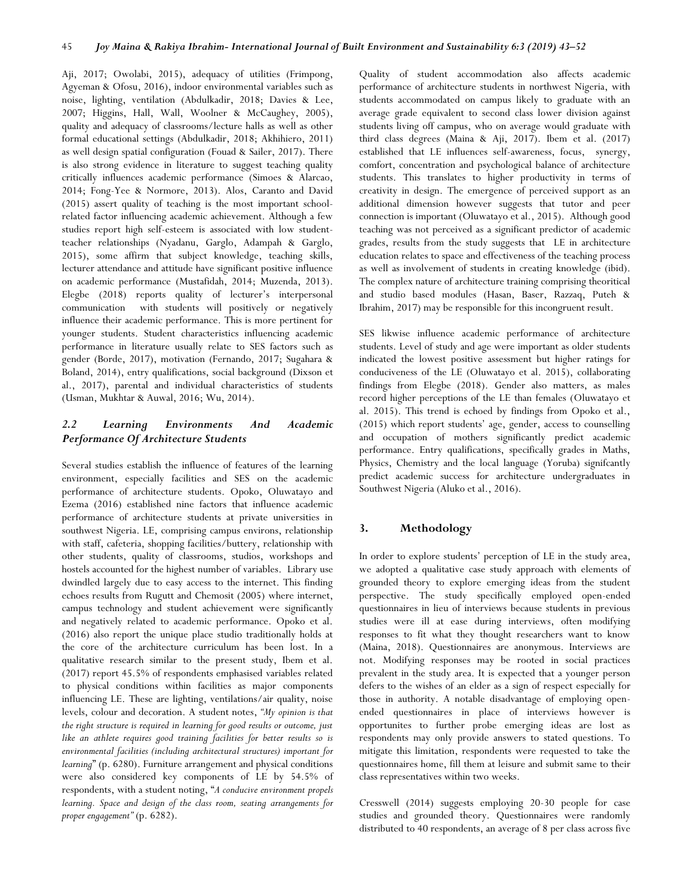Aji, 2017; Owolabi, 2015), adequacy of utilities (Frimpong, Agyeman & Ofosu, 2016), indoor environmental variables such as noise, lighting, ventilation (Abdulkadir, 2018; Davies & Lee, 2007; Higgins, Hall, Wall, Woolner & McCaughey, 2005), quality and adequacy of classrooms/lecture halls as well as other formal educational settings (Abdulkadir, 2018; Akhihiero, 2011) as well design spatial configuration (Fouad & Sailer, 2017). There is also strong evidence in literature to suggest teaching quality critically influences academic performance (Simoes & Alarcao, 2014; Fong-Yee & Normore, 2013). Alos, Caranto and David (2015) assert quality of teaching is the most important schoolrelated factor influencing academic achievement. Although a few studies report high self-esteem is associated with low studentteacher relationships (Nyadanu, Garglo, Adampah & Garglo, 2015), some affirm that subject knowledge, teaching skills, lecturer attendance and attitude have significant positive influence on academic performance (Mustafidah, 2014; Muzenda, 2013). Elegbe (2018) reports quality of lecturer's interpersonal communication with students will positively or negatively influence their academic performance. This is more pertinent for younger students. Student characteristics influencing academic performance in literature usually relate to SES factors such as gender (Borde, 2017), motivation (Fernando, 2017; Sugahara & Boland, 2014), entry qualifications, social background (Dixson et al., 2017), parental and individual characteristics of students (Usman, Mukhtar & Auwal, 2016; Wu, 2014).

# *2.2 Learning Environments And Academic Performance Of Architecture Students*

Several studies establish the influence of features of the learning environment, especially facilities and SES on the academic performance of architecture students. Opoko, Oluwatayo and Ezema (2016) established nine factors that influence academic performance of architecture students at private universities in southwest Nigeria. LE, comprising campus environs, relationship with staff, cafeteria, shopping facilities/buttery, relationship with other students, quality of classrooms, studios, workshops and hostels accounted for the highest number of variables. Library use dwindled largely due to easy access to the internet. This finding echoes results from Rugutt and Chemosit (2005) where internet, campus technology and student achievement were significantly and negatively related to academic performance. Opoko et al. (2016) also report the unique place studio traditionally holds at the core of the architecture curriculum has been lost. In a qualitative research similar to the present study, Ibem et al. (2017) report 45.5% of respondents emphasised variables related to physical conditions within facilities as major components influencing LE. These are lighting, ventilations/air quality, noise levels, colour and decoration. A student notes, *"My opinion is that the right structure is required in learning for good results or outcome, just like an athlete requires good training facilities for better results so is environmental facilities (including architectural structures) important for learning*" (p. 6280). Furniture arrangement and physical conditions were also considered key components of LE by 54.5% of respondents, with a student noting, "*A conducive environment propels learning. Space and design of the class room, seating arrangements for proper engagement"* (p. 6282).

Quality of student accommodation also affects academic performance of architecture students in northwest Nigeria, with students accommodated on campus likely to graduate with an average grade equivalent to second class lower division against students living off campus, who on average would graduate with third class degrees (Maina & Aji, 2017). Ibem et al. (2017) established that LE influences self-awareness, focus, synergy, comfort, concentration and psychological balance of architecture students. This translates to higher productivity in terms of creativity in design. The emergence of perceived support as an additional dimension however suggests that tutor and peer connection is important (Oluwatayo et al., 2015). Although good teaching was not perceived as a significant predictor of academic grades, results from the study suggests that LE in architecture education relates to space and effectiveness of the teaching process as well as involvement of students in creating knowledge (ibid). The complex nature of architecture training comprising theoritical and studio based modules (Hasan, Baser, Razzaq, Puteh & Ibrahim, 2017) may be responsible for this incongruent result.

SES likwise influence academic performance of architecture students. Level of study and age were important as older students indicated the lowest positive assessment but higher ratings for conduciveness of the LE (Oluwatayo et al. 2015), collaborating findings from Elegbe (2018). Gender also matters, as males record higher perceptions of the LE than females (Oluwatayo et al. 2015). This trend is echoed by findings from Opoko et al., (2015) which report students' age, gender, access to counselling and occupation of mothers significantly predict academic performance. Entry qualifications, specifically grades in Maths, Physics, Chemistry and the local language (Yoruba) signifcantly predict academic success for architecture undergraduates in Southwest Nigeria (Aluko et al., 2016).

# **3. Methodology**

In order to explore students' perception of LE in the study area, we adopted a qualitative case study approach with elements of grounded theory to explore emerging ideas from the student perspective. The study specifically employed open-ended questionnaires in lieu of interviews because students in previous studies were ill at ease during interviews, often modifying responses to fit what they thought researchers want to know (Maina, 2018). Questionnaires are anonymous. Interviews are not. Modifying responses may be rooted in social practices prevalent in the study area. It is expected that a younger person defers to the wishes of an elder as a sign of respect especially for those in authority. A notable disadvantage of employing openended questionnaires in place of interviews however is opportunites to further probe emerging ideas are lost as respondents may only provide answers to stated questions. To mitigate this limitation, respondents were requested to take the questionnaires home, fill them at leisure and submit same to their class representatives within two weeks.

Cresswell (2014) suggests employing 20-30 people for case studies and grounded theory. Questionnaires were randomly distributed to 40 respondents, an average of 8 per class across five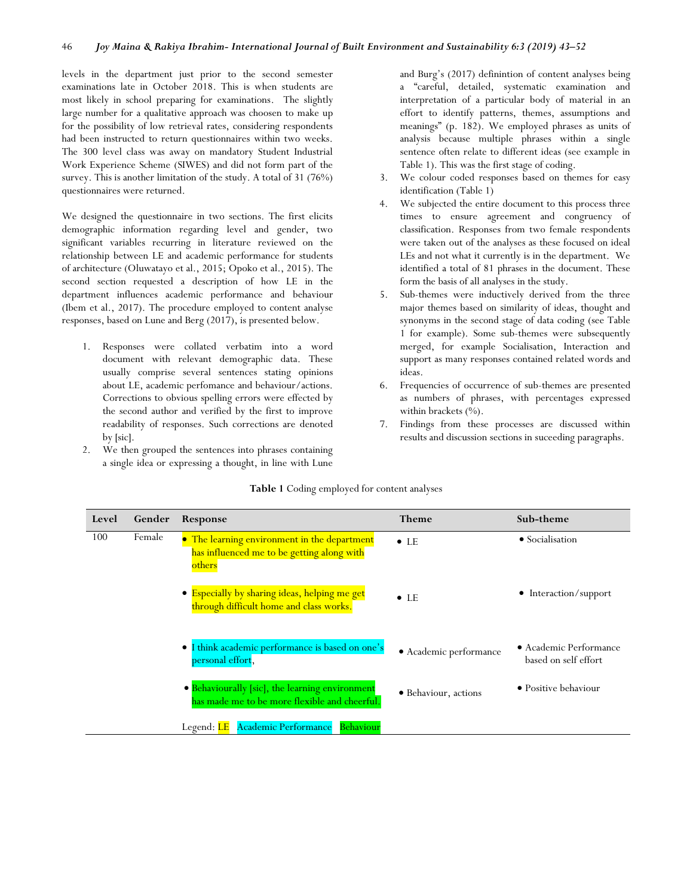levels in the department just prior to the second semester examinations late in October 2018. This is when students are most likely in school preparing for examinations. The slightly large number for a qualitative approach was choosen to make up for the possibility of low retrieval rates, considering respondents had been instructed to return questionnaires within two weeks. The 300 level class was away on mandatory Student Industrial Work Experience Scheme (SIWES) and did not form part of the survey. This is another limitation of the study. A total of 31 (76%) questionnaires were returned.

We designed the questionnaire in two sections. The first elicits demographic information regarding level and gender, two significant variables recurring in literature reviewed on the relationship between LE and academic performance for students of architecture (Oluwatayo et al., 2015; Opoko et al., 2015). The second section requested a description of how LE in the department influences academic performance and behaviour (Ibem et al., 2017). The procedure employed to content analyse responses, based on Lune and Berg (2017), is presented below.

- 1. Responses were collated verbatim into a word document with relevant demographic data. These usually comprise several sentences stating opinions about LE, academic perfomance and behaviour/actions. Corrections to obvious spelling errors were effected by the second author and verified by the first to improve readability of responses. Such corrections are denoted by [sic].
- 2. We then grouped the sentences into phrases containing a single idea or expressing a thought, in line with Lune

and Burg's (2017) definintion of content analyses being a "careful, detailed, systematic examination and interpretation of a particular body of material in an effort to identify patterns, themes, assumptions and meanings" (p. 182). We employed phrases as units of analysis because multiple phrases within a single sentence often relate to different ideas (see example in Table 1). This was the first stage of coding.

- 3. We colour coded responses based on themes for easy identification (Table 1)
- 4. We subjected the entire document to this process three times to ensure agreement and congruency of classification. Responses from two female respondents were taken out of the analyses as these focused on ideal LEs and not what it currently is in the department. We identified a total of 81 phrases in the document. These form the basis of all analyses in the study.
- 5. Sub-themes were inductively derived from the three major themes based on similarity of ideas, thought and synonyms in the second stage of data coding (see Table 1 for example). Some sub-themes were subsequently merged, for example Socialisation, Interaction and support as many responses contained related words and ideas.
- 6. Frequencies of occurrence of sub-themes are presented as numbers of phrases, with percentages expressed within brackets (%).
- 7. Findings from these processes are discussed within results and discussion sections in suceeding paragraphs.

|  |  |  |  | Table 1 Coding employed for content analyses |  |
|--|--|--|--|----------------------------------------------|--|
|--|--|--|--|----------------------------------------------|--|

| Level | Gender | Response                                                                                             | <b>Theme</b>           | Sub-theme                                      |
|-------|--------|------------------------------------------------------------------------------------------------------|------------------------|------------------------------------------------|
| 100   | Female | • The learning environment in the department<br>has influenced me to be getting along with<br>others | $\bullet$ LE           | • Socialisation                                |
|       |        | • Especially by sharing ideas, helping me get<br>through difficult home and class works.             | $\bullet$ LE           | $\bullet$ Interaction/support                  |
|       |        | I think academic performance is based on one's<br>personal effort,                                   | • Academic performance | • Academic Performance<br>based on self effort |
|       |        | • Behaviourally [sic], the learning environment<br>has made me to be more flexible and cheerful.     | • Behaviour, actions   | • Positive behaviour                           |
|       |        | <b>Academic Performance</b><br>Behaviour<br>Legend: LE                                               |                        |                                                |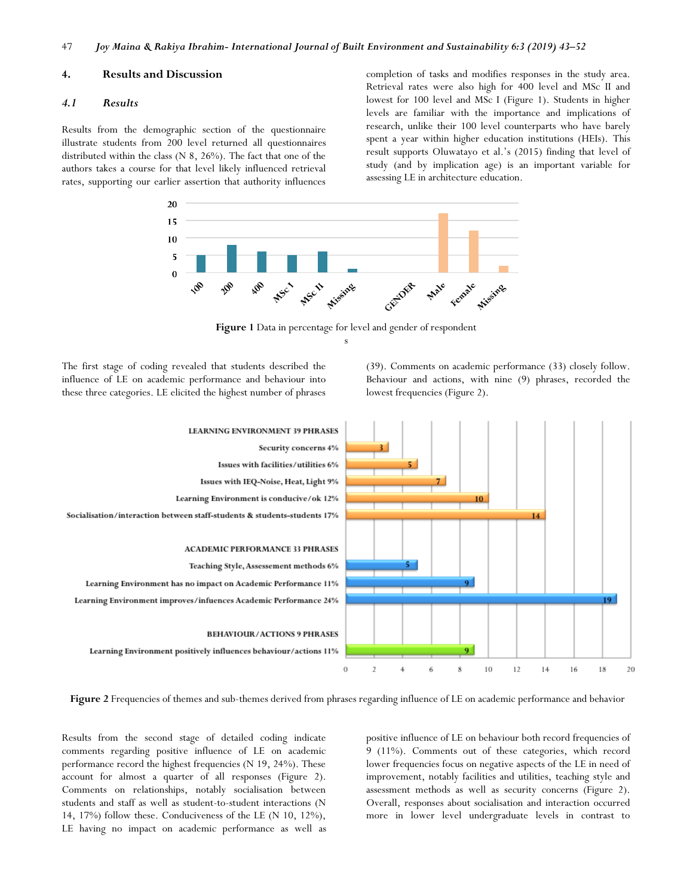#### **4. Results and Discussion**

#### *4.1 Results*

Results from the demographic section of the questionnaire illustrate students from 200 level returned all questionnaires distributed within the class (N 8, 26%). The fact that one of the authors takes a course for that level likely influenced retrieval rates, supporting our earlier assertion that authority influences

completion of tasks and modifies responses in the study area. Retrieval rates were also high for 400 level and MSc II and lowest for 100 level and MSc I (Figure 1). Students in higher levels are familiar with the importance and implications of research, unlike their 100 level counterparts who have barely spent a year within higher education institutions (HEIs). This result supports Oluwatayo et al.'s (2015) finding that level of study (and by implication age) is an important variable for assessing LE in architecture education.



**Figure 1** Data in percentage for level and gender of respondent s

The first stage of coding revealed that students described the influence of LE on academic performance and behaviour into these three categories. LE elicited the highest number of phrases

(39). Comments on academic performance (33) closely follow. Behaviour and actions, with nine (9) phrases, recorded the lowest frequencies (Figure 2).



**Figure 2** Frequencies of themes and sub-themes derived from phrases regarding influence of LE on academic performance and behavior

Results from the second stage of detailed coding indicate comments regarding positive influence of LE on academic performance record the highest frequencies (N 19, 24%). These account for almost a quarter of all responses (Figure 2). Comments on relationships, notably socialisation between students and staff as well as student-to-student interactions (N 14, 17%) follow these. Conduciveness of the LE (N 10, 12%), LE having no impact on academic performance as well as

positive influence of LE on behaviour both record frequencies of 9 (11%). Comments out of these categories, which record lower frequencies focus on negative aspects of the LE in need of improvement, notably facilities and utilities, teaching style and assessment methods as well as security concerns (Figure 2). Overall, responses about socialisation and interaction occurred more in lower level undergraduate levels in contrast to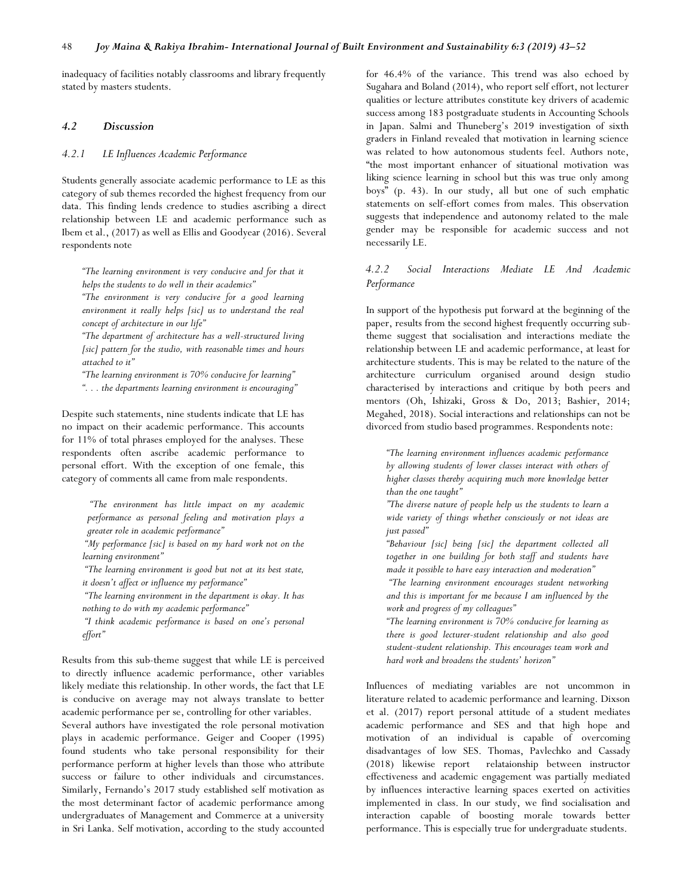inadequacy of facilities notably classrooms and library frequently stated by masters students.

#### *4.2 Discussion*

#### *4.2.1 LE Influences Academic Performance*

Students generally associate academic performance to LE as this category of sub themes recorded the highest frequency from our data. This finding lends credence to studies ascribing a direct relationship between LE and academic performance such as Ibem et al., (2017) as well as Ellis and Goodyear (2016). Several respondents note

*"The learning environment is very conducive and for that it helps the students to do well in their academics"* 

*"The environment is very conducive for a good learning environment it really helps [sic] us to understand the real concept of architecture in our life"* 

*"The department of architecture has a well-structured living [sic] pattern for the studio, with reasonable times and hours attached to it"*

*"The learning environment is 70% conducive for learning" ". . . the departments learning environment is encouraging"*

Despite such statements, nine students indicate that LE has no impact on their academic performance. This accounts for 11% of total phrases employed for the analyses. These respondents often ascribe academic performance to personal effort. With the exception of one female, this category of comments all came from male respondents.

> *"The environment has little impact on my academic performance as personal feeling and motivation plays a greater role in academic performance"*

*"My performance [sic] is based on my hard work not on the learning environment"*

*"The learning environment is good but not at its best state, it doesn't affect or influence my performance"*

*"The learning environment in the department is okay. It has nothing to do with my academic performance"*

*"I think academic performance is based on one's personal effort"*

Results from this sub-theme suggest that while LE is perceived to directly influence academic performance, other variables likely mediate this relationship. In other words, the fact that LE is conducive on average may not always translate to better academic performance per se, controlling for other variables.

Several authors have investigated the role personal motivation plays in academic performance. Geiger and Cooper (1995) found students who take personal responsibility for their performance perform at higher levels than those who attribute success or failure to other individuals and circumstances. Similarly, Fernando's 2017 study established self motivation as the most determinant factor of academic performance among undergraduates of Management and Commerce at a university in Sri Lanka. Self motivation, according to the study accounted

for 46.4% of the variance. This trend was also echoed by Sugahara and Boland (2014), who report self effort, not lecturer qualities or lecture attributes constitute key drivers of academic success among 183 postgraduate students in Accounting Schools in Japan. Salmi and Thuneberg's 2019 investigation of sixth graders in Finland revealed that motivation in learning science was related to how autonomous students feel. Authors note, "the most important enhancer of situational motivation was liking science learning in school but this was true only among boys" (p. 43). In our study, all but one of such emphatic statements on self-effort comes from males. This observation suggests that independence and autonomy related to the male gender may be responsible for academic success and not necessarily LE.

# *4.2.2 Social Interactions Mediate LE And Academic Performance*

In support of the hypothesis put forward at the beginning of the paper, results from the second highest frequently occurring subtheme suggest that socialisation and interactions mediate the relationship between LE and academic performance, at least for architecture students. This is may be related to the nature of the architecture curriculum organised around design studio characterised by interactions and critique by both peers and mentors (Oh, Ishizaki, Gross & Do, 2013; Bashier, 2014; Megahed, 2018). Social interactions and relationships can not be divorced from studio based programmes. Respondents note:

*"The learning environment influences academic performance by allowing students of lower classes interact with others of higher classes thereby acquiring much more knowledge better than the one taught"*

*"The diverse nature of people help us the students to learn a wide variety of things whether consciously or not ideas are just passed"*

*"Behaviour [sic] being [sic] the department collected all together in one building for both staff and students have made it possible to have easy interaction and moderation"*

*"The learning environment encourages student networking and this is important for me because I am influenced by the work and progress of my colleagues"*

*"The learning environment is 70% conducive for learning as there is good lecturer-student relationship and also good student-student relationship. This encourages team work and hard work and broadens the students' horizon"*

Influences of mediating variables are not uncommon in literature related to academic performance and learning. Dixson et al. (2017) report personal attitude of a student mediates academic performance and SES and that high hope and motivation of an individual is capable of overcoming disadvantages of low SES. Thomas, Pavlechko and Cassady (2018) likewise report relataionship between instructor effectiveness and academic engagement was partially mediated by influences interactive learning spaces exerted on activities implemented in class. In our study, we find socialisation and interaction capable of boosting morale towards better performance. This is especially true for undergraduate students.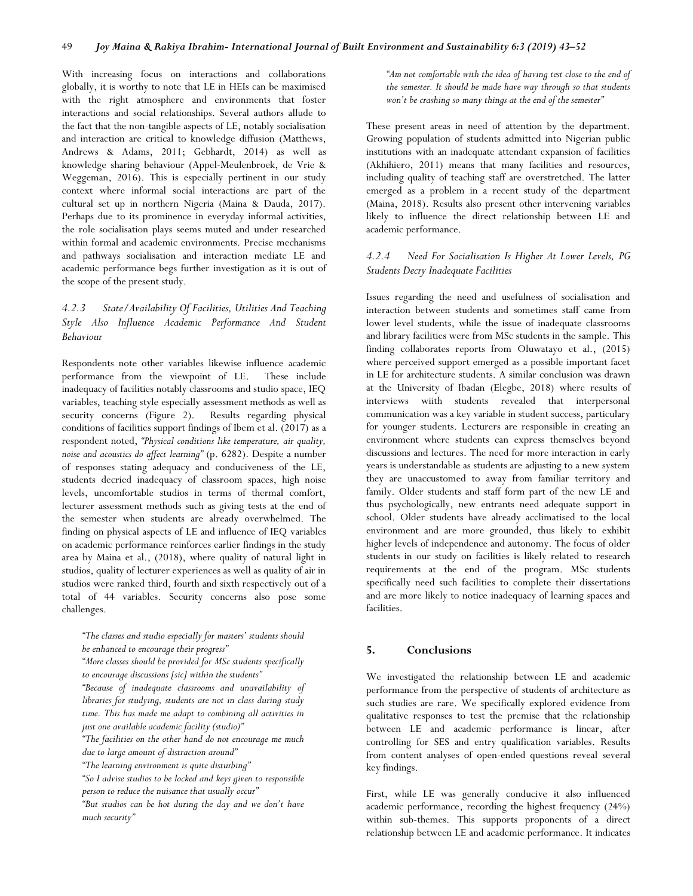With increasing focus on interactions and collaborations globally, it is worthy to note that LE in HEIs can be maximised with the right atmosphere and environments that foster interactions and social relationships. Several authors allude to the fact that the non-tangible aspects of LE, notably socialisation and interaction are critical to knowledge diffusion (Matthews, Andrews & Adams, 2011; Gebhardt, 2014) as well as knowledge sharing behaviour (Appel-Meulenbroek, de Vrie & Weggeman, 2016). This is especially pertinent in our study context where informal social interactions are part of the cultural set up in northern Nigeria (Maina & Dauda, 2017). Perhaps due to its prominence in everyday informal activities, the role socialisation plays seems muted and under researched within formal and academic environments. Precise mechanisms and pathways socialisation and interaction mediate LE and academic performance begs further investigation as it is out of the scope of the present study.

# *4.2.3 State/Availability Of Facilities, Utilities And Teaching Style Also Influence Academic Performance And Student Behaviour*

Respondents note other variables likewise influence academic performance from the viewpoint of LE. These include inadequacy of facilities notably classrooms and studio space, IEQ variables, teaching style especially assessment methods as well as security concerns (Figure 2). Results regarding physical conditions of facilities support findings of Ibem et al. (2017) as a respondent noted, *"Physical conditions like temperature, air quality, noise and acoustics do affect learning"* (p. 6282). Despite a number of responses stating adequacy and conduciveness of the LE, students decried inadequacy of classroom spaces, high noise levels, uncomfortable studios in terms of thermal comfort, lecturer assessment methods such as giving tests at the end of the semester when students are already overwhelmed. The finding on physical aspects of LE and influence of IEQ variables on academic performance reinforces earlier findings in the study area by Maina et al., (2018), where quality of natural light in studios, quality of lecturer experiences as well as quality of air in studios were ranked third, fourth and sixth respectively out of a total of 44 variables. Security concerns also pose some challenges.

*"The classes and studio especially for masters' students should be enhanced to encourage their progress"*

*"More classes should be provided for MSc students specifically to encourage discussions [sic] within the students"*

*"Because of inadequate classrooms and unavailability of libraries for studying, students are not in class during study time. This has made me adapt to combining all activities in just one available academic facility (studio)"*

*"The facilities on the other hand do not encourage me much due to large amount of distraction around"*

*"The learning environment is quite disturbing"*

*"So I advise studios to be locked and keys given to responsible person to reduce the nuisance that usually occur"*

*"But studios can be hot during the day and we don't have much security"*

*"Am not comfortable with the idea of having test close to the end of the semester. It should be made have way through so that students won't be crashing so many things at the end of the semester"*

These present areas in need of attention by the department. Growing population of students admitted into Nigerian public institutions with an inadequate attendant expansion of facilities (Akhihiero, 2011) means that many facilities and resources, including quality of teaching staff are overstretched. The latter emerged as a problem in a recent study of the department (Maina, 2018). Results also present other intervening variables likely to influence the direct relationship between LE and academic performance.

# *4.2.4 Need For Socialisation Is Higher At Lower Levels, PG Students Decry Inadequate Facilities*

Issues regarding the need and usefulness of socialisation and interaction between students and sometimes staff came from lower level students, while the issue of inadequate classrooms and library facilities were from MSc students in the sample. This finding collaborates reports from Oluwatayo et al., (2015) where perceived support emerged as a possible important facet in LE for architecture students. A similar conclusion was drawn at the University of Ibadan (Elegbe, 2018) where results of interviews wiith students revealed that interpersonal communication was a key variable in student success, particulary for younger students. Lecturers are responsible in creating an environment where students can express themselves beyond discussions and lectures. The need for more interaction in early years is understandable as students are adjusting to a new system they are unaccustomed to away from familiar territory and family. Older students and staff form part of the new LE and thus psychologically, new entrants need adequate support in school. Older students have already acclimatised to the local environment and are more grounded, thus likely to exhibit higher levels of independence and autonomy. The focus of older students in our study on facilities is likely related to research requirements at the end of the program. MSc students specifically need such facilities to complete their dissertations and are more likely to notice inadequacy of learning spaces and facilities.

# **5. Conclusions**

We investigated the relationship between LE and academic performance from the perspective of students of architecture as such studies are rare. We specifically explored evidence from qualitative responses to test the premise that the relationship between LE and academic performance is linear, after controlling for SES and entry qualification variables. Results from content analyses of open-ended questions reveal several key findings.

First, while LE was generally conducive it also influenced academic performance, recording the highest frequency (24%) within sub-themes. This supports proponents of a direct relationship between LE and academic performance. It indicates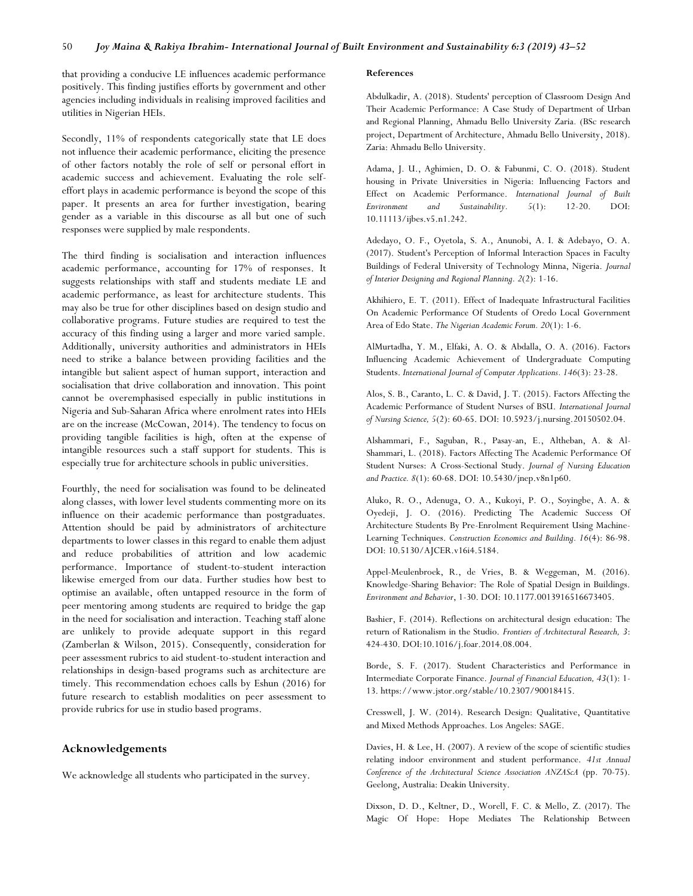that providing a conducive LE influences academic performance positively. This finding justifies efforts by government and other agencies including individuals in realising improved facilities and utilities in Nigerian HEIs.

Secondly, 11% of respondents categorically state that LE does not influence their academic performance, eliciting the presence of other factors notably the role of self or personal effort in academic success and achievement. Evaluating the role selfeffort plays in academic performance is beyond the scope of this paper. It presents an area for further investigation, bearing gender as a variable in this discourse as all but one of such responses were supplied by male respondents.

The third finding is socialisation and interaction influences academic performance, accounting for 17% of responses. It suggests relationships with staff and students mediate LE and academic performance, as least for architecture students. This may also be true for other disciplines based on design studio and collaborative programs. Future studies are required to test the accuracy of this finding using a larger and more varied sample. Additionally, university authorities and administrators in HEIs need to strike a balance between providing facilities and the intangible but salient aspect of human support, interaction and socialisation that drive collaboration and innovation. This point cannot be overemphasised especially in public institutions in Nigeria and Sub-Saharan Africa where enrolment rates into HEIs are on the increase (McCowan, 2014). The tendency to focus on providing tangible facilities is high, often at the expense of intangible resources such a staff support for students. This is especially true for architecture schools in public universities.

Fourthly, the need for socialisation was found to be delineated along classes, with lower level students commenting more on its influence on their academic performance than postgraduates. Attention should be paid by administrators of architecture departments to lower classes in this regard to enable them adjust and reduce probabilities of attrition and low academic performance. Importance of student-to-student interaction likewise emerged from our data. Further studies how best to optimise an available, often untapped resource in the form of peer mentoring among students are required to bridge the gap in the need for socialisation and interaction. Teaching staff alone are unlikely to provide adequate support in this regard (Zamberlan & Wilson, 2015). Consequently, consideration for peer assessment rubrics to aid student-to-student interaction and relationships in design-based programs such as architecture are timely. This recommendation echoes calls by Eshun (2016) for future research to establish modalities on peer assessment to provide rubrics for use in studio based programs.

#### **Acknowledgements**

We acknowledge all students who participated in the survey.

#### **References**

Abdulkadir, A. (2018). Students' perception of Classroom Design And Their Academic Performance: A Case Study of Department of Urban and Regional Planning, Ahmadu Bello University Zaria*.* (BSc research project, Department of Architecture, Ahmadu Bello University, 2018). Zaria: Ahmadu Bello University.

Adama, J. U., Aghimien, D. O. & Fabunmi, C. O. (2018). Student housing in Private Universities in Nigeria: Influencing Factors and Effect on Academic Performance. *International Journal of Built Environment and Sustainability. 5*(1): 12-20. DOI: 10.11113/ijbes.v5.n1.242.

Adedayo, O. F., Oyetola, S. A., Anunobi, A. I. & Adebayo, O. A. (2017). Student's Perception of Informal Interaction Spaces in Faculty Buildings of Federal University of Technology Minna, Nigeria. *Journal of Interior Designing and Regional Planning. 2*(2): 1-16.

Akhihiero, E. T. (2011). Effect of Inadequate Infrastructural Facilities On Academic Performance Of Students of Oredo Local Government Area of Edo State. *The Nigerian Academic Forum. 20*(1): 1-6.

AlMurtadha, Y. M., Elfaki, A. O. & Abdalla, O. A. (2016). Factors Influencing Academic Achievement of Undergraduate Computing Students. *International Journal of Computer Applications. 146*(3): 23-28.

Alos, S. B., Caranto, L. C. & David, J. T. (2015). Factors Affecting the Academic Performance of Student Nurses of BSU. *International Journal of Nursing Science, 5*(2): 60-65. DOI: 10.5923/j.nursing.20150502.04.

Alshammari, F., Saguban, R., Pasay-an, E., Altheban, A. & Al-Shammari, L. (2018). Factors Affecting The Academic Performance Of Student Nurses: A Cross-Sectional Study. *Journal of Nursing Education and Practice. 8*(1): 60-68. DOI: 10.5430/jnep.v8n1p60.

Aluko, R. O., Adenuga, O. A., Kukoyi, P. O., Soyingbe, A. A. & Oyedeji, J. O. (2016). Predicting The Academic Success Of Architecture Students By Pre-Enrolment Requirement Using Machine-Learning Techniques. *Construction Economics and Building. 16*(4): 86-98. DOI: 10.5130/AJCER.v16i4.5184.

Appel-Meulenbroek, R., de Vries, B. & Weggeman, M. (2016). Knowledge-Sharing Behavior: The Role of Spatial Design in Buildings. *Environment and Behavior*, 1-30. DOI: 10.1177.0013916516673405.

Bashier, F. (2014). Reflections on architectural design education: The return of Rationalism in the Studio. *Frontiers of Architectural Research, 3*: 424-430. DOI:10.1016/j.foar.2014.08.004.

Borde, S. F. (2017). Student Characteristics and Performance in Intermediate Corporate Finance. *Journal of Financial Education, 43*(1): 1- 13. https://www.jstor.org/stable/10.2307/90018415.

Cresswell, J. W. (2014). Research Design: Qualitative, Quantitative and Mixed Methods Approaches. Los Angeles: SAGE.

Davies, H. & Lee, H. (2007). A review of the scope of scientific studies relating indoor environment and student performance. *41st Annual Conference of the Architectural Science Association ANZAScA* (pp. 70-75). Geelong, Australia: Deakin University.

Dixson, D. D., Keltner, D., Worell, F. C. & Mello, Z. (2017). The Magic Of Hope: Hope Mediates The Relationship Between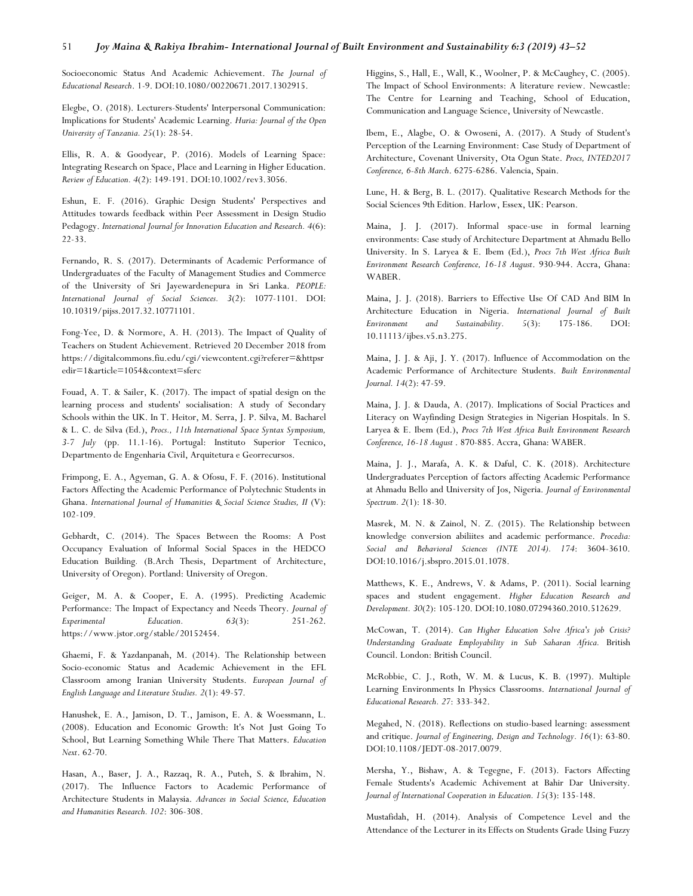#### 51 *Joy Maina & Rakiya Ibrahim- International Journal of Built Environment and Sustainability 6:3 (2019) 43–52*

Socioeconomic Status And Academic Achievement. *The Journal of Educational Research*. 1-9. DOI:10.1080/00220671.2017.1302915.

Elegbe, O. (2018). Lecturers-Students' Interpersonal Communication: Implications for Students' Academic Learning. *Huria: Journal of the Open University of Tanzania. 25*(1): 28-54.

Ellis, R. A. & Goodyear, P. (2016). Models of Learning Space: Integrating Research on Space, Place and Learning in Higher Education. *Review of Education. 4*(2): 149-191. DOI:10.1002/rev3.3056.

Eshun, E. F. (2016). Graphic Design Students' Perspectives and Attitudes towards feedback within Peer Assessment in Design Studio Pedagogy. *International Journal for Innovation Education and Research. 4*(6): 22-33.

Fernando, R. S. (2017). Determinants of Academic Performance of Undergraduates of the Faculty of Management Studies and Commerce of the University of Sri Jayewardenepura in Sri Lanka. *PEOPLE: International Journal of Social Sciences. 3*(2): 1077-1101. DOI: 10.10319/pijss.2017.32.10771101.

Fong-Yee, D. & Normore, A. H. (2013). The Impact of Quality of Teachers on Student Achievement. Retrieved 20 December 2018 from https://digitalcommons.fiu.edu/cgi/viewcontent.cgi?referer=&httpsr edir=1&article=1054&context=sferc

Fouad, A. T. & Sailer, K. (2017). The impact of spatial design on the learning process and students' socialisation: A study of Secondary Schools within the UK. In T. Heitor, M. Serra, J. P. Silva, M. Bacharel & L. C. de Silva (Ed.), *Procs., 11th International Space Syntax Symposium, 3-7 July* (pp. 11.1-16). Portugal: Instituto Superior Tecnico, Departmento de Engenharia Civil, Arquitetura e Georrecursos.

Frimpong, E. A., Agyeman, G. A. & Ofosu, F. F. (2016). Institutional Factors Affecting the Academic Performance of Polytechnic Students in Ghana. *International Journal of Humanities & Social Science Studies, II* (V): 102-109.

Gebhardt, C. (2014). The Spaces Between the Rooms: A Post Occupancy Evaluation of Informal Social Spaces in the HEDCO Education Building*.* (B.Arch Thesis, Department of Architecture, University of Oregon). Portland: University of Oregon.

Geiger, M. A. & Cooper, E. A. (1995). Predicting Academic Performance: The Impact of Expectancy and Needs Theory. *Journal of Experimental Education. 63*(3): 251-262. https://www.jstor.org/stable/20152454.

Ghaemi, F. & Yazdanpanah, M. (2014). The Relationship between Socio-economic Status and Academic Achievement in the EFL Classroom among Iranian University Students. *European Journal of English Language and Literature Studies. 2*(1): 49-57.

Hanushek, E. A., Jamison, D. T., Jamison, E. A. & Woessmann, L. (2008). Education and Economic Growth: It's Not Just Going To School, But Learning Something While There That Matters. *Education Next*. 62-70.

Hasan, A., Baser, J. A., Razzaq, R. A., Puteh, S. & Ibrahim, N. (2017). The Influence Factors to Academic Performance of Architecture Students in Malaysia. *Advances in Social Science, Education and Humanities Research. 102*: 306-308.

Higgins, S., Hall, E., Wall, K., Woolner, P. & McCaughey, C. (2005). The Impact of School Environments: A literature review. Newcastle: The Centre for Learning and Teaching, School of Education, Communication and Language Science, University of Newcastle.

Ibem, E., Alagbe, O. & Owoseni, A. (2017). A Study of Student's Perception of the Learning Environment: Case Study of Department of Architecture, Covenant University, Ota Ogun State. *Procs, INTED2017 Conference, 6-8th March*. 6275-6286. Valencia, Spain.

Lune, H. & Berg, B. L. (2017). Qualitative Research Methods for the Social Sciences 9th Edition. Harlow, Essex, UK: Pearson.

Maina, J. J. (2017). Informal space-use in formal learning environments: Case study of Architecture Department at Ahmadu Bello University. In S. Laryea & E. Ibem (Ed.), *Procs 7th West Africa Built Environment Research Conference, 16-18 August*. 930-944. Accra, Ghana: WABER.

Maina, J. J. (2018). Barriers to Effective Use Of CAD And BIM In Architecture Education in Nigeria. *International Journal of Built Environment and Sustainability. 5*(3): 175-186. DOI: 10.11113/ijbes.v5.n3.275.

Maina, J. J. & Aji, J. Y. (2017). Influence of Accommodation on the Academic Performance of Architecture Students. *Built Environmental Journal. 14*(2): 47-59.

Maina, J. J. & Dauda, A. (2017). Implications of Social Practices and Literacy on Wayfinding Design Strategies in Nigerian Hospitals. In S. Laryea & E. Ibem (Ed.), *Procs 7th West Africa Built Environment Research Conference, 16-18 August* . 870-885. Accra, Ghana: WABER.

Maina, J. J., Marafa, A. K. & Daful, C. K. (2018). Architecture Undergraduates Perception of factors affecting Academic Performance at Ahmadu Bello and University of Jos, Nigeria. *Journal of Environmental Spectrum. 2*(1): 18-30.

Masrek, M. N. & Zainol, N. Z. (2015). The Relationship between knowledge conversion abiliites and academic performance. *Procedia: Social and Behavioral Sciences (INTE 2014). 174*: 3604-3610. DOI:10.1016/j.sbspro.2015.01.1078.

Matthews, K. E., Andrews, V. & Adams, P. (2011). Social learning spaces and student engagement. *Higher Education Research and Development. 30*(2): 105-120. DOI:10.1080.07294360.2010.512629.

McCowan, T. (2014). *Can Higher Education Solve Africa's job Crisis? Understanding Graduate Employability in Sub Saharan Africa.* British Council. London: British Council.

McRobbie, C. J., Roth, W. M. & Lucus, K. B. (1997). Multiple Learning Environments In Physics Classrooms. *International Journal of Educational Research. 27*: 333-342.

Megahed, N. (2018). Reflections on studio-based learning: assessment and critique. *Journal of Engineering, Design and Technology. 16*(1): 63-80. DOI:10.1108/JEDT-08-2017.0079.

Mersha, Y., Bishaw, A. & Tegegne, F. (2013). Factors Affecting Female Students's Academic Achivement at Bahir Dar University. *Journal of International Cooperation in Education. 15*(3): 135-148.

Mustafidah, H. (2014). Analysis of Competence Level and the Attendance of the Lecturer in its Effects on Students Grade Using Fuzzy